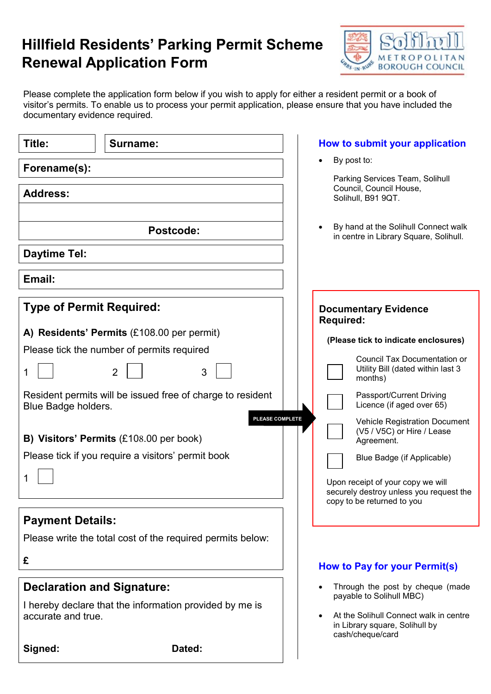## Hillfield Residents' Parking Permit Scheme Renewal Application Form



Please complete the application form below if you wish to apply for either a resident permit or a book of visitor's permits. To enable us to process your permit application, please ensure that you have included the documentary evidence required.

| Title:                                                                            | <b>Surname:</b>                                            | How to submit your application                                                               |  |
|-----------------------------------------------------------------------------------|------------------------------------------------------------|----------------------------------------------------------------------------------------------|--|
| Forename(s):                                                                      |                                                            | By post to:                                                                                  |  |
| <b>Address:</b>                                                                   |                                                            | Parking Services Team, Solihull<br>Council, Council House,<br>Solihull, B91 9QT.             |  |
| <b>Postcode:</b>                                                                  |                                                            | By hand at the Solihull Connect walk<br>in centre in Library Square, Solihull.               |  |
| <b>Daytime Tel:</b>                                                               |                                                            |                                                                                              |  |
| Email:                                                                            |                                                            |                                                                                              |  |
| <b>Type of Permit Required:</b>                                                   |                                                            | <b>Documentary Evidence</b><br><b>Required:</b>                                              |  |
| A) Residents' Permits (£108.00 per permit)                                        |                                                            | (Please tick to indicate enclosures)                                                         |  |
| Please tick the number of permits required                                        |                                                            | <b>Council Tax Documentation or</b>                                                          |  |
| 1                                                                                 | $\overline{2}$<br>3                                        | Utility Bill (dated within last 3<br>months)                                                 |  |
| Resident permits will be issued free of charge to resident<br>Blue Badge holders. |                                                            | Passport/Current Driving<br>Licence (if aged over 65)                                        |  |
|                                                                                   | PLEASE COMPLETE<br>B) Visitors' Permits (£108.00 per book) | <b>Vehicle Registration Document</b><br>(V5 / V5C) or Hire / Lease<br>Agreement.             |  |
| Please tick if you require a visitors' permit book                                |                                                            | Blue Badge (if Applicable)                                                                   |  |
|                                                                                   |                                                            |                                                                                              |  |
| 1                                                                                 |                                                            | Upon receipt of your copy we will<br>securely destroy unless you request the                 |  |
|                                                                                   |                                                            | copy to be returned to you                                                                   |  |
| <b>Payment Details:</b>                                                           |                                                            |                                                                                              |  |
|                                                                                   | Please write the total cost of the required permits below: |                                                                                              |  |
| £                                                                                 |                                                            | How to Pay for your Permit(s)                                                                |  |
| <b>Declaration and Signature:</b>                                                 |                                                            | Through the post by cheque (made                                                             |  |
| I hereby declare that the information provided by me is                           |                                                            | payable to Solihull MBC)                                                                     |  |
| accurate and true.                                                                |                                                            | At the Solihull Connect walk in centre<br>in Library square, Solihull by<br>cash/cheque/card |  |
| Signed:                                                                           | Dated:                                                     |                                                                                              |  |